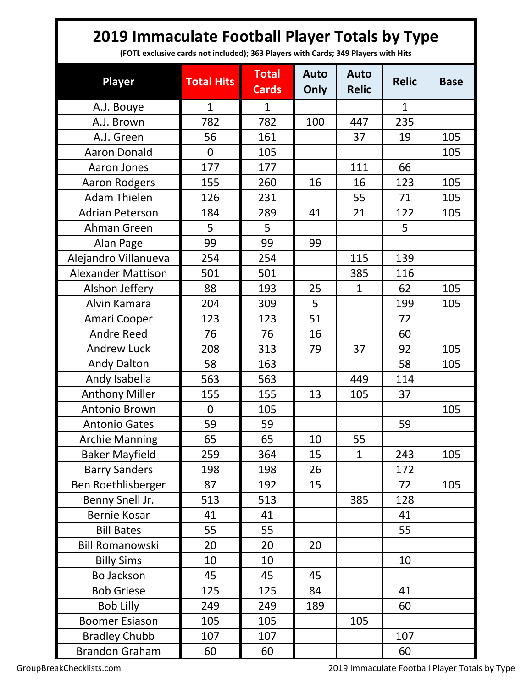## **2019 Immaculate Football Player Totals by Type**

**(FOTL exclusive cards not included); 363 Players with Cards; 349 Players with Hits**

| <b>Player</b>             | <b>Total Hits</b> | <b>Total</b><br><b>Cards</b> | <b>Auto</b><br>Only | <b>Auto</b><br><b>Relic</b> | <b>Relic</b> | <b>Base</b> |
|---------------------------|-------------------|------------------------------|---------------------|-----------------------------|--------------|-------------|
| A.J. Bouye                | $\mathbf{1}$      | $\mathbf{1}$                 |                     |                             | $\mathbf{1}$ |             |
| A.J. Brown                | 782               | 782                          | 100                 | 447                         | 235          |             |
| A.J. Green                | 56                | 161                          |                     | 37                          | 19           | 105         |
| <b>Aaron Donald</b>       | $\overline{0}$    | 105                          |                     |                             |              | 105         |
| Aaron Jones               | 177               | 177                          |                     | 111                         | 66           |             |
| <b>Aaron Rodgers</b>      | 155               | 260                          | 16                  | 16                          | 123          | 105         |
| <b>Adam Thielen</b>       | 126               | 231                          |                     | 55                          | 71           | 105         |
| <b>Adrian Peterson</b>    | 184               | 289                          | 41                  | 21                          | 122          | 105         |
| Ahman Green               | 5                 | 5                            |                     |                             | 5            |             |
| Alan Page                 | 99                | 99                           | 99                  |                             |              |             |
| Alejandro Villanueva      | 254               | 254                          |                     | 115                         | 139          |             |
| <b>Alexander Mattison</b> | 501               | 501                          |                     | 385                         | 116          |             |
| Alshon Jeffery            | 88                | 193                          | 25                  | $\mathbf{1}$                | 62           | 105         |
| Alvin Kamara              | 204               | 309                          | 5                   |                             | 199          | 105         |
| Amari Cooper              | 123               | 123                          | 51                  |                             | 72           |             |
| <b>Andre Reed</b>         | 76                | 76                           | 16                  |                             | 60           |             |
| <b>Andrew Luck</b>        | 208               | 313                          | 79                  | 37                          | 92           | 105         |
| <b>Andy Dalton</b>        | 58                | 163                          |                     |                             | 58           | 105         |
| Andy Isabella             | 563               | 563                          |                     | 449                         | 114          |             |
| <b>Anthony Miller</b>     | 155               | 155                          | 13                  | 105                         | 37           |             |
| Antonio Brown             | $\overline{0}$    | 105                          |                     |                             |              | 105         |
| <b>Antonio Gates</b>      | 59                | 59                           |                     |                             | 59           |             |
| <b>Archie Manning</b>     | 65                | 65                           | 10                  | 55                          |              |             |
| <b>Baker Mayfield</b>     | 259               | 364                          | 15                  | $\mathbf{1}$                | 243          | 105         |
| <b>Barry Sanders</b>      | 198               | 198                          | 26                  |                             | 172          |             |
| Ben Roethlisberger        | 87                | 192                          | 15                  |                             | 72           | 105         |
| Benny Snell Jr.           | 513               | 513                          |                     | 385                         | 128          |             |
| <b>Bernie Kosar</b>       | 41                | 41                           |                     |                             | 41           |             |
| <b>Bill Bates</b>         | 55                | 55                           |                     |                             | 55           |             |
| <b>Bill Romanowski</b>    | 20                | 20                           | 20                  |                             |              |             |
| <b>Billy Sims</b>         | 10                | 10                           |                     |                             | 10           |             |
| Bo Jackson                | 45                | 45                           | 45                  |                             |              |             |
| <b>Bob Griese</b>         | 125               | 125                          | 84                  |                             | 41           |             |
| <b>Bob Lilly</b>          | 249               | 249                          | 189                 |                             | 60           |             |
| <b>Boomer Esiason</b>     | 105               | 105                          |                     | 105                         |              |             |
| <b>Bradley Chubb</b>      | 107               | 107                          |                     |                             | 107          |             |
| <b>Brandon Graham</b>     | 60                | 60                           |                     |                             | 60           |             |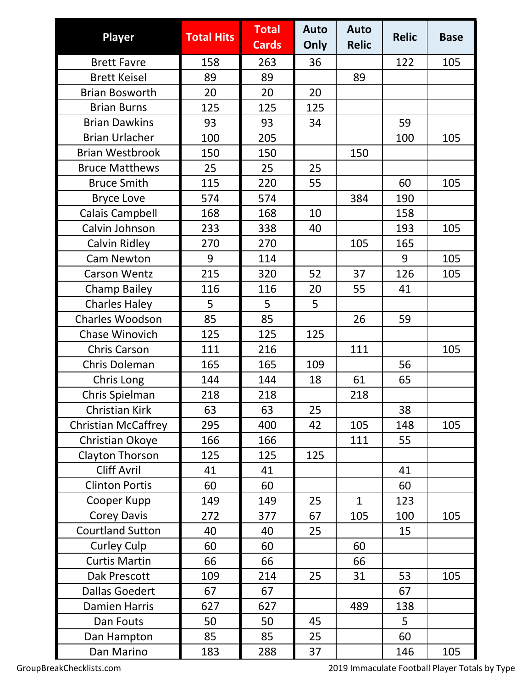| <b>Player</b>              | <b>Total Hits</b> | <b>Total</b> | <b>Auto</b> | <b>Auto</b>  | <b>Relic</b> | <b>Base</b> |
|----------------------------|-------------------|--------------|-------------|--------------|--------------|-------------|
|                            |                   | <b>Cards</b> | Only        | <b>Relic</b> |              |             |
| <b>Brett Favre</b>         | 158               | 263          | 36          |              | 122          | 105         |
| <b>Brett Keisel</b>        | 89                | 89           |             | 89           |              |             |
| <b>Brian Bosworth</b>      | 20                | 20           | 20          |              |              |             |
| <b>Brian Burns</b>         | 125               | 125          | 125         |              |              |             |
| <b>Brian Dawkins</b>       | 93                | 93           | 34          |              | 59           |             |
| <b>Brian Urlacher</b>      | 100               | 205          |             |              | 100          | 105         |
| <b>Brian Westbrook</b>     | 150               | 150          |             | 150          |              |             |
| <b>Bruce Matthews</b>      | 25                | 25           | 25          |              |              |             |
| <b>Bruce Smith</b>         | 115               | 220          | 55          |              | 60           | 105         |
| <b>Bryce Love</b>          | 574               | 574          |             | 384          | 190          |             |
| Calais Campbell            | 168               | 168          | 10          |              | 158          |             |
| Calvin Johnson             | 233               | 338          | 40          |              | 193          | 105         |
| Calvin Ridley              | 270               | 270          |             | 105          | 165          |             |
| <b>Cam Newton</b>          | 9                 | 114          |             |              | 9            | 105         |
| <b>Carson Wentz</b>        | 215               | 320          | 52          | 37           | 126          | 105         |
| <b>Champ Bailey</b>        | 116               | 116          | 20          | 55           | 41           |             |
| <b>Charles Haley</b>       | 5                 | 5            | 5           |              |              |             |
| Charles Woodson            | 85                | 85           |             | 26           | 59           |             |
| Chase Winovich             | 125               | 125          | 125         |              |              |             |
| <b>Chris Carson</b>        | 111               | 216          |             | 111          |              | 105         |
| <b>Chris Doleman</b>       | 165               | 165          | 109         |              | 56           |             |
| Chris Long                 | 144               | 144          | 18          | 61           | 65           |             |
| Chris Spielman             | 218               | 218          |             | 218          |              |             |
| <b>Christian Kirk</b>      | 63                | 63           | 25          |              | 38           |             |
| <b>Christian McCaffrey</b> | 295               | 400          | 42          | 105          | 148          | 105         |
| Christian Okoye            | 166               | 166          |             | 111          | 55           |             |
| Clayton Thorson            | 125               | 125          | 125         |              |              |             |
| <b>Cliff Avril</b>         | 41                | 41           |             |              | 41           |             |
| <b>Clinton Portis</b>      | 60                | 60           |             |              | 60           |             |
| Cooper Kupp                | 149               | 149          | 25          | $\mathbf{1}$ | 123          |             |
| Corey Davis                | 272               | 377          | 67          | 105          | 100          | 105         |
| <b>Courtland Sutton</b>    | 40                | 40           | 25          |              | 15           |             |
| <b>Curley Culp</b>         | 60                | 60           |             | 60           |              |             |
| <b>Curtis Martin</b>       | 66                | 66           |             | 66           |              |             |
| Dak Prescott               | 109               | 214          | 25          | 31           | 53           | 105         |
| <b>Dallas Goedert</b>      | 67                | 67           |             |              | 67           |             |
| <b>Damien Harris</b>       | 627               | 627          |             | 489          | 138          |             |
| Dan Fouts                  | 50                | 50           | 45          |              | 5            |             |
| Dan Hampton                | 85                | 85           | 25          |              | 60           |             |
| Dan Marino                 | 183               | 288          | 37          |              | 146          | 105         |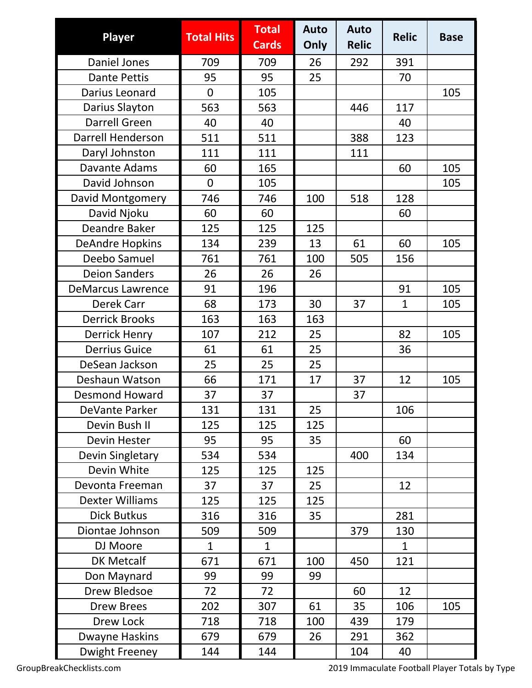| <b>Player</b>            | <b>Total Hits</b> | <b>Total</b><br><b>Cards</b> | <b>Auto</b><br>Only | <b>Auto</b><br><b>Relic</b> | <b>Relic</b> | <b>Base</b> |
|--------------------------|-------------------|------------------------------|---------------------|-----------------------------|--------------|-------------|
| <b>Daniel Jones</b>      | 709               | 709                          | 26                  | 292                         | 391          |             |
| <b>Dante Pettis</b>      | 95                | 95                           | 25                  |                             | 70           |             |
| Darius Leonard           | $\overline{0}$    | 105                          |                     |                             |              | 105         |
| Darius Slayton           | 563               | 563                          |                     | 446                         | 117          |             |
| <b>Darrell Green</b>     | 40                | 40                           |                     |                             | 40           |             |
| Darrell Henderson        | 511               | 511                          |                     | 388                         | 123          |             |
| Daryl Johnston           | 111               | 111                          |                     | 111                         |              |             |
| Davante Adams            | 60                | 165                          |                     |                             | 60           | 105         |
| David Johnson            | $\overline{0}$    | 105                          |                     |                             |              | 105         |
| David Montgomery         | 746               | 746                          | 100                 | 518                         | 128          |             |
| David Njoku              | 60                | 60                           |                     |                             | 60           |             |
| Deandre Baker            | 125               | 125                          | 125                 |                             |              |             |
| <b>DeAndre Hopkins</b>   | 134               | 239                          | 13                  | 61                          | 60           | 105         |
| Deebo Samuel             | 761               | 761                          | 100                 | 505                         | 156          |             |
| <b>Deion Sanders</b>     | 26                | 26                           | 26                  |                             |              |             |
| <b>DeMarcus Lawrence</b> | 91                | 196                          |                     |                             | 91           | 105         |
| Derek Carr               | 68                | 173                          | 30                  | 37                          | $\mathbf{1}$ | 105         |
| <b>Derrick Brooks</b>    | 163               | 163                          | 163                 |                             |              |             |
| <b>Derrick Henry</b>     | 107               | 212                          | 25                  |                             | 82           | 105         |
| <b>Derrius Guice</b>     | 61                | 61                           | 25                  |                             | 36           |             |
| DeSean Jackson           | 25                | 25                           | 25                  |                             |              |             |
| Deshaun Watson           | 66                | 171                          | 17                  | 37                          | 12           | 105         |
| <b>Desmond Howard</b>    | 37                | 37                           |                     | 37                          |              |             |
| DeVante Parker           | 131               | 131                          | 25                  |                             | 106          |             |
| Devin Bush II            | 125               | 125                          | 125                 |                             |              |             |
| Devin Hester             | 95                | 95                           | 35                  |                             | 60           |             |
| Devin Singletary         | 534               | 534                          |                     | 400                         | 134          |             |
| Devin White              | 125               | 125                          | 125                 |                             |              |             |
| Devonta Freeman          | 37                | 37                           | 25                  |                             | 12           |             |
| <b>Dexter Williams</b>   | 125               | 125                          | 125                 |                             |              |             |
| <b>Dick Butkus</b>       | 316               | 316                          | 35                  |                             | 281          |             |
| Diontae Johnson          | 509               | 509                          |                     | 379                         | 130          |             |
| DJ Moore                 | $\mathbf 1$       | $\mathbf{1}$                 |                     |                             | $\mathbf{1}$ |             |
| <b>DK Metcalf</b>        | 671               | 671                          | 100                 | 450                         | 121          |             |
| Don Maynard              | 99                | 99                           | 99                  |                             |              |             |
| Drew Bledsoe             | 72                | 72                           |                     | 60                          | 12           |             |
| <b>Drew Brees</b>        | 202               | 307                          | 61                  | 35                          | 106          | 105         |
| Drew Lock                | 718               | 718                          | 100                 | 439                         | 179          |             |
| Dwayne Haskins           | 679               | 679                          | 26                  | 291                         | 362          |             |
| <b>Dwight Freeney</b>    | 144               | 144                          |                     | 104                         | 40           |             |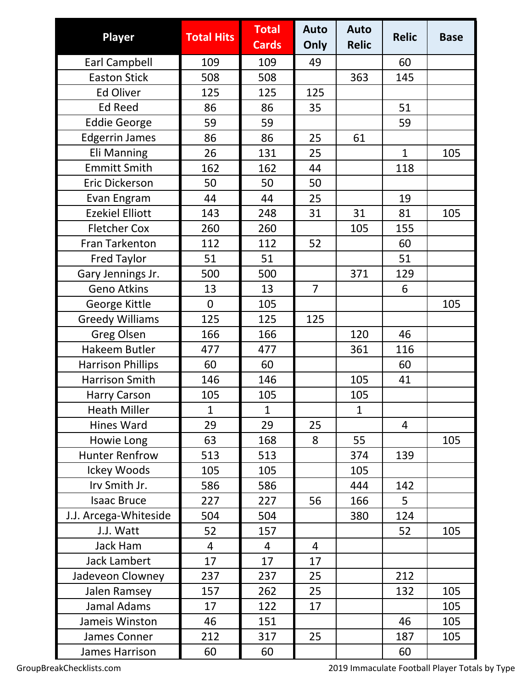| <b>Player</b>            | <b>Total Hits</b> | <b>Total</b><br><b>Cards</b> | <b>Auto</b><br>Only | <b>Auto</b><br><b>Relic</b> | <b>Relic</b> | <b>Base</b> |
|--------------------------|-------------------|------------------------------|---------------------|-----------------------------|--------------|-------------|
| <b>Earl Campbell</b>     | 109               | 109                          | 49                  |                             | 60           |             |
| <b>Easton Stick</b>      | 508               | 508                          |                     | 363                         | 145          |             |
| <b>Ed Oliver</b>         | 125               | 125                          | 125                 |                             |              |             |
| <b>Ed Reed</b>           | 86                | 86                           | 35                  |                             | 51           |             |
| <b>Eddie George</b>      | 59                | 59                           |                     |                             | 59           |             |
| <b>Edgerrin James</b>    | 86                | 86                           | 25                  | 61                          |              |             |
| <b>Eli Manning</b>       | 26                | 131                          | 25                  |                             | $\mathbf{1}$ | 105         |
| <b>Emmitt Smith</b>      | 162               | 162                          | 44                  |                             | 118          |             |
| Eric Dickerson           | 50                | 50                           | 50                  |                             |              |             |
| Evan Engram              | 44                | 44                           | 25                  |                             | 19           |             |
| <b>Ezekiel Elliott</b>   | 143               | 248                          | 31                  | 31                          | 81           | 105         |
| <b>Fletcher Cox</b>      | 260               | 260                          |                     | 105                         | 155          |             |
| <b>Fran Tarkenton</b>    | 112               | 112                          | 52                  |                             | 60           |             |
| <b>Fred Taylor</b>       | 51                | 51                           |                     |                             | 51           |             |
| Gary Jennings Jr.        | 500               | 500                          |                     | 371                         | 129          |             |
| <b>Geno Atkins</b>       | 13                | 13                           | $\overline{7}$      |                             | 6            |             |
| George Kittle            | $\mathbf 0$       | 105                          |                     |                             |              | 105         |
| <b>Greedy Williams</b>   | 125               | 125                          | 125                 |                             |              |             |
| <b>Greg Olsen</b>        | 166               | 166                          |                     | 120                         | 46           |             |
| Hakeem Butler            | 477               | 477                          |                     | 361                         | 116          |             |
| <b>Harrison Phillips</b> | 60                | 60                           |                     |                             | 60           |             |
| Harrison Smith           | 146               | 146                          |                     | 105                         | 41           |             |
| <b>Harry Carson</b>      | 105               | 105                          |                     | 105                         |              |             |
| <b>Heath Miller</b>      | 1                 | 1                            |                     | 1                           |              |             |
| <b>Hines Ward</b>        | 29                | 29                           | 25                  |                             | 4            |             |
| Howie Long               | 63                | 168                          | 8                   | 55                          |              | 105         |
| <b>Hunter Renfrow</b>    | 513               | 513                          |                     | 374                         | 139          |             |
| Ickey Woods              | 105               | 105                          |                     | 105                         |              |             |
| Irv Smith Jr.            | 586               | 586                          |                     | 444                         | 142          |             |
| <b>Isaac Bruce</b>       | 227               | 227                          | 56                  | 166                         | 5            |             |
| J.J. Arcega-Whiteside    | 504               | 504                          |                     | 380                         | 124          |             |
| J.J. Watt                | 52                | 157                          |                     |                             | 52           | 105         |
| <b>Jack Ham</b>          | 4                 | 4                            | 4                   |                             |              |             |
| Jack Lambert             | 17                | 17                           | 17                  |                             |              |             |
| Jadeveon Clowney         | 237               | 237                          | 25                  |                             | 212          |             |
| Jalen Ramsey             | 157               | 262                          | 25                  |                             | 132          | 105         |
| Jamal Adams              | 17                | 122                          | 17                  |                             |              | 105         |
| Jameis Winston           | 46                | 151                          |                     |                             | 46           | 105         |
| James Conner             | 212               | 317                          | 25                  |                             | 187          | 105         |
| James Harrison           | 60                | 60                           |                     |                             | 60           |             |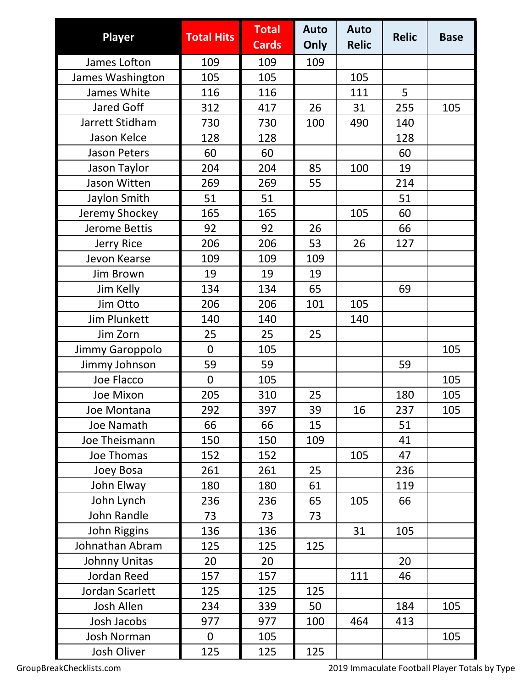| <b>Player</b>       | <b>Total Hits</b> | <b>Total</b><br><b>Cards</b> | <b>Auto</b><br>Only | <b>Auto</b><br><b>Relic</b> | <b>Relic</b> | <b>Base</b> |
|---------------------|-------------------|------------------------------|---------------------|-----------------------------|--------------|-------------|
| James Lofton        | 109               | 109                          | 109                 |                             |              |             |
| James Washington    | 105               | 105                          |                     | 105                         |              |             |
| James White         | 116               | 116                          |                     | 111                         | 5            |             |
| <b>Jared Goff</b>   | 312               | 417                          | 26                  | 31                          | 255          | 105         |
| Jarrett Stidham     | 730               | 730                          | 100                 | 490                         | 140          |             |
| Jason Kelce         | 128               | 128                          |                     |                             | 128          |             |
| <b>Jason Peters</b> | 60                | 60                           |                     |                             | 60           |             |
| Jason Taylor        | 204               | 204                          | 85                  | 100                         | 19           |             |
| Jason Witten        | 269               | 269                          | 55                  |                             | 214          |             |
| Jaylon Smith        | 51                | 51                           |                     |                             | 51           |             |
| Jeremy Shockey      | 165               | 165                          |                     | 105                         | 60           |             |
| Jerome Bettis       | 92                | 92                           | 26                  |                             | 66           |             |
| Jerry Rice          | 206               | 206                          | 53                  | 26                          | 127          |             |
| Jevon Kearse        | 109               | 109                          | 109                 |                             |              |             |
| Jim Brown           | 19                | 19                           | 19                  |                             |              |             |
| Jim Kelly           | 134               | 134                          | 65                  |                             | 69           |             |
| Jim Otto            | 206               | 206                          | 101                 | 105                         |              |             |
| <b>Jim Plunkett</b> | 140               | 140                          |                     | 140                         |              |             |
| Jim Zorn            | 25                | 25                           | 25                  |                             |              |             |
| Jimmy Garoppolo     | $\overline{0}$    | 105                          |                     |                             |              | 105         |
| Jimmy Johnson       | 59                | 59                           |                     |                             | 59           |             |
| Joe Flacco          | $\mathbf 0$       | 105                          |                     |                             |              | 105         |
| Joe Mixon           | 205               | 310                          | 25                  |                             | 180          | 105         |
| Joe Montana         | 292               | 397                          | 39                  | 16                          | 237          | 105         |
| Joe Namath          | 66                | 66                           | 15                  |                             | 51           |             |
| Joe Theismann       | 150               | 150                          | 109                 |                             | 41           |             |
| Joe Thomas          | 152               | 152                          |                     | 105                         | 47           |             |
| Joey Bosa           | 261               | 261                          | 25                  |                             | 236          |             |
| John Elway          | 180               | 180                          | 61                  |                             | 119          |             |
| John Lynch          | 236               | 236                          | 65                  | 105                         | 66           |             |
| John Randle         | 73                | 73                           | 73                  |                             |              |             |
| John Riggins        | 136               | 136                          |                     | 31                          | 105          |             |
| Johnathan Abram     | 125               | 125                          | 125                 |                             |              |             |
| Johnny Unitas       | 20                | 20                           |                     |                             | 20           |             |
| Jordan Reed         | 157               | 157                          |                     | 111                         | 46           |             |
| Jordan Scarlett     | 125               | 125                          | 125                 |                             |              |             |
| <b>Josh Allen</b>   | 234               | 339                          | 50                  |                             | 184          | 105         |
| Josh Jacobs         | 977               | 977                          | 100                 | 464                         | 413          |             |
| <b>Josh Norman</b>  | 0                 | 105                          |                     |                             |              | 105         |
| Josh Oliver         | 125               | 125                          | 125                 |                             |              |             |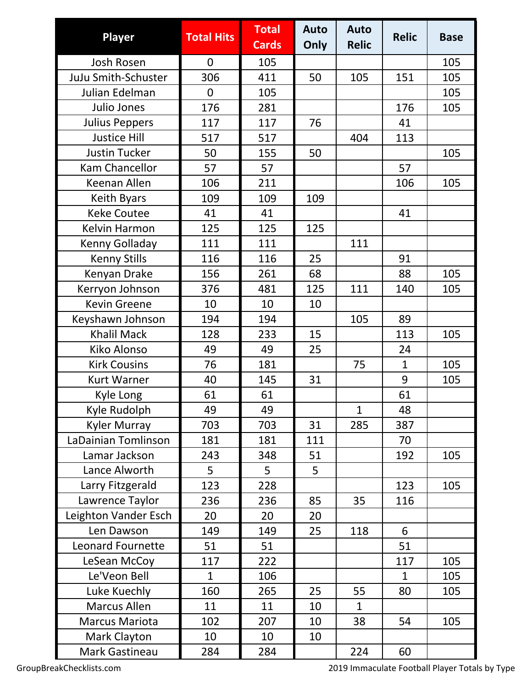| <b>Player</b>              | <b>Total Hits</b> | <b>Total</b><br><b>Cards</b> | <b>Auto</b><br>Only | <b>Auto</b><br><b>Relic</b> | <b>Relic</b> | <b>Base</b> |
|----------------------------|-------------------|------------------------------|---------------------|-----------------------------|--------------|-------------|
| Josh Rosen                 | $\overline{0}$    | 105                          |                     |                             |              | 105         |
| <b>JuJu Smith-Schuster</b> | 306               | 411                          | 50                  | 105                         | 151          | 105         |
| Julian Edelman             | $\overline{0}$    | 105                          |                     |                             |              | 105         |
| Julio Jones                | 176               | 281                          |                     |                             | 176          | 105         |
| <b>Julius Peppers</b>      | 117               | 117                          | 76                  |                             | 41           |             |
| <b>Justice Hill</b>        | 517               | 517                          |                     | 404                         | 113          |             |
| <b>Justin Tucker</b>       | 50                | 155                          | 50                  |                             |              | 105         |
| Kam Chancellor             | 57                | 57                           |                     |                             | 57           |             |
| Keenan Allen               | 106               | 211                          |                     |                             | 106          | 105         |
| Keith Byars                | 109               | 109                          | 109                 |                             |              |             |
| <b>Keke Coutee</b>         | 41                | 41                           |                     |                             | 41           |             |
| Kelvin Harmon              | 125               | 125                          | 125                 |                             |              |             |
| Kenny Golladay             | 111               | 111                          |                     | 111                         |              |             |
| <b>Kenny Stills</b>        | 116               | 116                          | 25                  |                             | 91           |             |
| Kenyan Drake               | 156               | 261                          | 68                  |                             | 88           | 105         |
| Kerryon Johnson            | 376               | 481                          | 125                 | 111                         | 140          | 105         |
| <b>Kevin Greene</b>        | 10                | 10                           | 10                  |                             |              |             |
| Keyshawn Johnson           | 194               | 194                          |                     | 105                         | 89           |             |
| <b>Khalil Mack</b>         | 128               | 233                          | 15                  |                             | 113          | 105         |
| <b>Kiko Alonso</b>         | 49                | 49                           | 25                  |                             | 24           |             |
| <b>Kirk Cousins</b>        | 76                | 181                          |                     | 75                          | $\mathbf{1}$ | 105         |
| <b>Kurt Warner</b>         | 40                | 145                          | 31                  |                             | 9            | 105         |
| Kyle Long                  | 61                | 61                           |                     |                             | 61           |             |
| Kyle Rudolph               | 49                | 49                           |                     | $\mathbf{1}$                | 48           |             |
| <b>Kyler Murray</b>        | 703               | 703                          | 31                  | 285                         | 387          |             |
| LaDainian Tomlinson        | 181               | 181                          | 111                 |                             | 70           |             |
| Lamar Jackson              | 243               | 348                          | 51                  |                             | 192          | 105         |
| Lance Alworth              | 5                 | 5                            | 5                   |                             |              |             |
| Larry Fitzgerald           | 123               | 228                          |                     |                             | 123          | 105         |
| Lawrence Taylor            | 236               | 236                          | 85                  | 35                          | 116          |             |
| Leighton Vander Esch       | 20                | 20                           | 20                  |                             |              |             |
| Len Dawson                 | 149               | 149                          | 25                  | 118                         | 6            |             |
| <b>Leonard Fournette</b>   | 51                | 51                           |                     |                             | 51           |             |
| LeSean McCoy               | 117               | 222                          |                     |                             | 117          | 105         |
| Le'Veon Bell               | $\mathbf{1}$      | 106                          |                     |                             | $\mathbf{1}$ | 105         |
| Luke Kuechly               | 160               | 265                          | 25                  | 55                          | 80           | 105         |
| <b>Marcus Allen</b>        | 11                | 11                           | 10                  | $\mathbf{1}$                |              |             |
| <b>Marcus Mariota</b>      | 102               | 207                          | 10                  | 38                          | 54           | 105         |
| <b>Mark Clayton</b>        | 10                | 10                           | 10                  |                             |              |             |
| Mark Gastineau             | 284               | 284                          |                     | 224                         | 60           |             |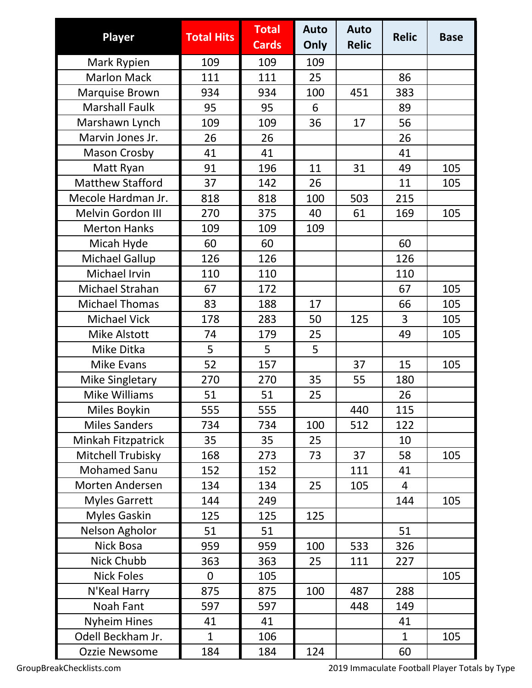| <b>Player</b>           | <b>Total Hits</b> | <b>Total</b><br><b>Cards</b> | <b>Auto</b><br>Only | <b>Auto</b><br><b>Relic</b> | <b>Relic</b>   | <b>Base</b> |
|-------------------------|-------------------|------------------------------|---------------------|-----------------------------|----------------|-------------|
| Mark Rypien             | 109               | 109                          | 109                 |                             |                |             |
| <b>Marlon Mack</b>      | 111               | 111                          | 25                  |                             | 86             |             |
| Marquise Brown          | 934               | 934                          | 100                 | 451                         | 383            |             |
| <b>Marshall Faulk</b>   | 95                | 95                           | 6                   |                             | 89             |             |
| Marshawn Lynch          | 109               | 109                          | 36                  | 17                          | 56             |             |
| Marvin Jones Jr.        | 26                | 26                           |                     |                             | 26             |             |
| <b>Mason Crosby</b>     | 41                | 41                           |                     |                             | 41             |             |
| Matt Ryan               | 91                | 196                          | 11                  | 31                          | 49             | 105         |
| <b>Matthew Stafford</b> | 37                | 142                          | 26                  |                             | 11             | 105         |
| Mecole Hardman Jr.      | 818               | 818                          | 100                 | 503                         | 215            |             |
| Melvin Gordon III       | 270               | 375                          | 40                  | 61                          | 169            | 105         |
| <b>Merton Hanks</b>     | 109               | 109                          | 109                 |                             |                |             |
| Micah Hyde              | 60                | 60                           |                     |                             | 60             |             |
| Michael Gallup          | 126               | 126                          |                     |                             | 126            |             |
| Michael Irvin           | 110               | 110                          |                     |                             | 110            |             |
| Michael Strahan         | 67                | 172                          |                     |                             | 67             | 105         |
| <b>Michael Thomas</b>   | 83                | 188                          | 17                  |                             | 66             | 105         |
| <b>Michael Vick</b>     | 178               | 283                          | 50                  | 125                         | 3              | 105         |
| <b>Mike Alstott</b>     | 74                | 179                          | 25                  |                             | 49             | 105         |
| Mike Ditka              | 5                 | 5                            | 5                   |                             |                |             |
| <b>Mike Evans</b>       | 52                | 157                          |                     | 37                          | 15             | 105         |
| Mike Singletary         | 270               | 270                          | 35                  | 55                          | 180            |             |
| Mike Williams           | 51                | 51                           | 25                  |                             | 26             |             |
| Miles Boykin            | 555               | 555                          |                     | 440                         | 115            |             |
| <b>Miles Sanders</b>    | 734               | 734                          | 100                 | 512                         | 122            |             |
| Minkah Fitzpatrick      | 35                | 35                           | 25                  |                             | 10             |             |
| Mitchell Trubisky       | 168               | 273                          | 73                  | 37                          | 58             | 105         |
| <b>Mohamed Sanu</b>     | 152               | 152                          |                     | 111                         | 41             |             |
| Morten Andersen         | 134               | 134                          | 25                  | 105                         | $\overline{4}$ |             |
| <b>Myles Garrett</b>    | 144               | 249                          |                     |                             | 144            | 105         |
| <b>Myles Gaskin</b>     | 125               | 125                          | 125                 |                             |                |             |
| Nelson Agholor          | 51                | 51                           |                     |                             | 51             |             |
| Nick Bosa               | 959               | 959                          | 100                 | 533                         | 326            |             |
| Nick Chubb              | 363               | 363                          | 25                  | 111                         | 227            |             |
| <b>Nick Foles</b>       | 0                 | 105                          |                     |                             |                | 105         |
| N'Keal Harry            | 875               | 875                          | 100                 | 487                         | 288            |             |
| Noah Fant               | 597               | 597                          |                     | 448                         | 149            |             |
| <b>Nyheim Hines</b>     | 41                | 41                           |                     |                             | 41             |             |
| Odell Beckham Jr.       | $\overline{1}$    | 106                          |                     |                             | $\mathbf{1}$   | 105         |
| Ozzie Newsome           | 184               | 184                          | 124                 |                             | 60             |             |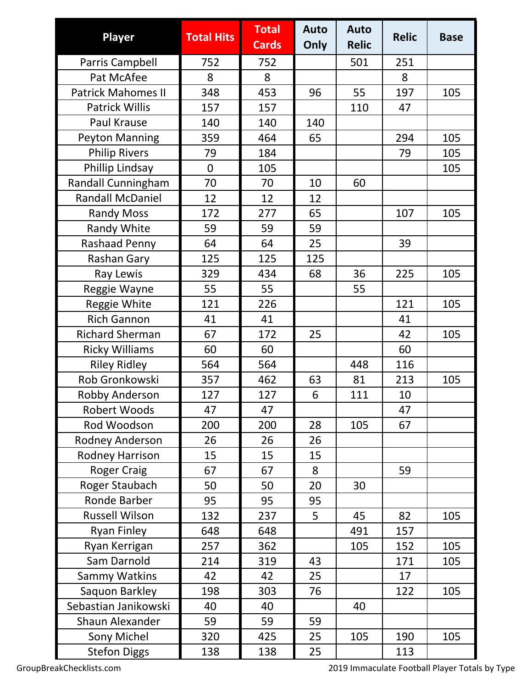| Player                    | <b>Total Hits</b> | <b>Total</b><br><b>Cards</b> | <b>Auto</b><br>Only | <b>Auto</b><br><b>Relic</b> | <b>Relic</b> | <b>Base</b> |
|---------------------------|-------------------|------------------------------|---------------------|-----------------------------|--------------|-------------|
| Parris Campbell           | 752               | 752                          |                     | 501                         | 251          |             |
| Pat McAfee                | 8                 | 8                            |                     |                             | 8            |             |
| <b>Patrick Mahomes II</b> | 348               | 453                          | 96                  | 55                          | 197          | 105         |
| <b>Patrick Willis</b>     | 157               | 157                          |                     | 110                         | 47           |             |
| Paul Krause               | 140               | 140                          | 140                 |                             |              |             |
| <b>Peyton Manning</b>     | 359               | 464                          | 65                  |                             | 294          | 105         |
| <b>Philip Rivers</b>      | 79                | 184                          |                     |                             | 79           | 105         |
| Phillip Lindsay           | $\overline{0}$    | 105                          |                     |                             |              | 105         |
| Randall Cunningham        | 70                | 70                           | 10                  | 60                          |              |             |
| <b>Randall McDaniel</b>   | 12                | 12                           | 12                  |                             |              |             |
| <b>Randy Moss</b>         | 172               | 277                          | 65                  |                             | 107          | 105         |
| Randy White               | 59                | 59                           | 59                  |                             |              |             |
| <b>Rashaad Penny</b>      | 64                | 64                           | 25                  |                             | 39           |             |
| Rashan Gary               | 125               | 125                          | 125                 |                             |              |             |
| Ray Lewis                 | 329               | 434                          | 68                  | 36                          | 225          | 105         |
| Reggie Wayne              | 55                | 55                           |                     | 55                          |              |             |
| Reggie White              | 121               | 226                          |                     |                             | 121          | 105         |
| <b>Rich Gannon</b>        | 41                | 41                           |                     |                             | 41           |             |
| <b>Richard Sherman</b>    | 67                | 172                          | 25                  |                             | 42           | 105         |
| <b>Ricky Williams</b>     | 60                | 60                           |                     |                             | 60           |             |
| <b>Riley Ridley</b>       | 564               | 564                          |                     | 448                         | 116          |             |
| Rob Gronkowski            | 357               | 462                          | 63                  | 81                          | 213          | 105         |
| Robby Anderson            | 127               | 127                          | 6                   | 111                         | 10           |             |
| Robert Woods              | 47                | 47                           |                     |                             | 47           |             |
| Rod Woodson               | 200               | 200                          | 28                  | 105                         | 67           |             |
| Rodney Anderson           | 26                | 26                           | 26                  |                             |              |             |
| <b>Rodney Harrison</b>    | 15                | 15                           | 15                  |                             |              |             |
| <b>Roger Craig</b>        | 67                | 67                           | 8                   |                             | 59           |             |
| Roger Staubach            | 50                | 50                           | 20                  | 30                          |              |             |
| Ronde Barber              | 95                | 95                           | 95                  |                             |              |             |
| <b>Russell Wilson</b>     | 132               | 237                          | 5                   | 45                          | 82           | 105         |
| <b>Ryan Finley</b>        | 648               | 648                          |                     | 491                         | 157          |             |
| Ryan Kerrigan             | 257               | 362                          |                     | 105                         | 152          | 105         |
| Sam Darnold               | 214               | 319                          | 43                  |                             | 171          | 105         |
| Sammy Watkins             | 42                | 42                           | 25                  |                             | 17           |             |
| Saquon Barkley            | 198               | 303                          | 76                  |                             | 122          | 105         |
| Sebastian Janikowski      | 40                | 40                           |                     | 40                          |              |             |
| <b>Shaun Alexander</b>    | 59                | 59                           | 59                  |                             |              |             |
| Sony Michel               | 320               | 425                          | 25                  | 105                         | 190          | 105         |
| <b>Stefon Diggs</b>       | 138               | 138                          | 25                  |                             | 113          |             |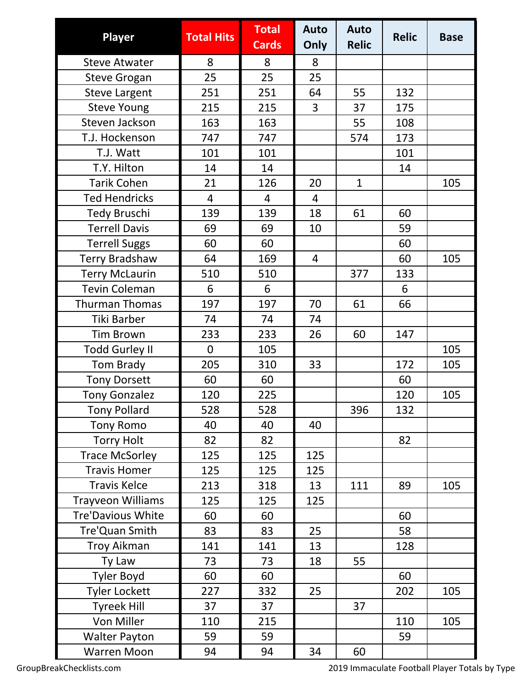| <b>Player</b>            | <b>Total Hits</b> | <b>Total</b><br><b>Cards</b> | <b>Auto</b><br>Only | <b>Auto</b><br><b>Relic</b> | <b>Relic</b> | <b>Base</b> |
|--------------------------|-------------------|------------------------------|---------------------|-----------------------------|--------------|-------------|
| <b>Steve Atwater</b>     | 8                 | 8                            | 8                   |                             |              |             |
| <b>Steve Grogan</b>      | 25                | 25                           | 25                  |                             |              |             |
| <b>Steve Largent</b>     | 251               | 251                          | 64                  | 55                          | 132          |             |
| <b>Steve Young</b>       | 215               | 215                          | 3                   | 37                          | 175          |             |
| Steven Jackson           | 163               | 163                          |                     | 55                          | 108          |             |
| T.J. Hockenson           | 747               | 747                          |                     | 574                         | 173          |             |
| T.J. Watt                | 101               | 101                          |                     |                             | 101          |             |
| T.Y. Hilton              | 14                | 14                           |                     |                             | 14           |             |
| <b>Tarik Cohen</b>       | 21                | 126                          | 20                  | $\mathbf{1}$                |              | 105         |
| <b>Ted Hendricks</b>     | $\overline{4}$    | $\overline{4}$               | 4                   |                             |              |             |
| <b>Tedy Bruschi</b>      | 139               | 139                          | 18                  | 61                          | 60           |             |
| <b>Terrell Davis</b>     | 69                | 69                           | 10                  |                             | 59           |             |
| <b>Terrell Suggs</b>     | 60                | 60                           |                     |                             | 60           |             |
| <b>Terry Bradshaw</b>    | 64                | 169                          | $\overline{4}$      |                             | 60           | 105         |
| <b>Terry McLaurin</b>    | 510               | 510                          |                     | 377                         | 133          |             |
| <b>Tevin Coleman</b>     | 6                 | 6                            |                     |                             | 6            |             |
| <b>Thurman Thomas</b>    | 197               | 197                          | 70                  | 61                          | 66           |             |
| Tiki Barber              | 74                | 74                           | 74                  |                             |              |             |
| <b>Tim Brown</b>         | 233               | 233                          | 26                  | 60                          | 147          |             |
| <b>Todd Gurley II</b>    | $\mathbf 0$       | 105                          |                     |                             |              | 105         |
| <b>Tom Brady</b>         | 205               | 310                          | 33                  |                             | 172          | 105         |
| <b>Tony Dorsett</b>      | 60                | 60                           |                     |                             | 60           |             |
| <b>Tony Gonzalez</b>     | 120               | 225                          |                     |                             | 120          | 105         |
| <b>Tony Pollard</b>      | 528               | 528                          |                     | 396                         | 132          |             |
| <b>Tony Romo</b>         | 40                | 40                           | 40                  |                             |              |             |
| <b>Torry Holt</b>        | 82                | 82                           |                     |                             | 82           |             |
| <b>Trace McSorley</b>    | 125               | 125                          | 125                 |                             |              |             |
| <b>Travis Homer</b>      | 125               | 125                          | 125                 |                             |              |             |
| <b>Travis Kelce</b>      | 213               | 318                          | 13                  | 111                         | 89           | 105         |
| Trayveon Williams        | 125               | 125                          | 125                 |                             |              |             |
| <b>Tre'Davious White</b> | 60                | 60                           |                     |                             | 60           |             |
| Tre'Quan Smith           | 83                | 83                           | 25                  |                             | 58           |             |
| <b>Troy Aikman</b>       | 141               | 141                          | 13                  |                             | 128          |             |
| Ty Law                   | 73                | 73                           | 18                  | 55                          |              |             |
| <b>Tyler Boyd</b>        | 60                | 60                           |                     |                             | 60           |             |
| <b>Tyler Lockett</b>     | 227               | 332                          | 25                  |                             | 202          | 105         |
| <b>Tyreek Hill</b>       | 37                | 37                           |                     | 37                          |              |             |
| Von Miller               | 110               | 215                          |                     |                             | 110          | 105         |
| <b>Walter Payton</b>     | 59                | 59                           |                     |                             | 59           |             |
| <b>Warren Moon</b>       | 94                | 94                           | 34                  | 60                          |              |             |